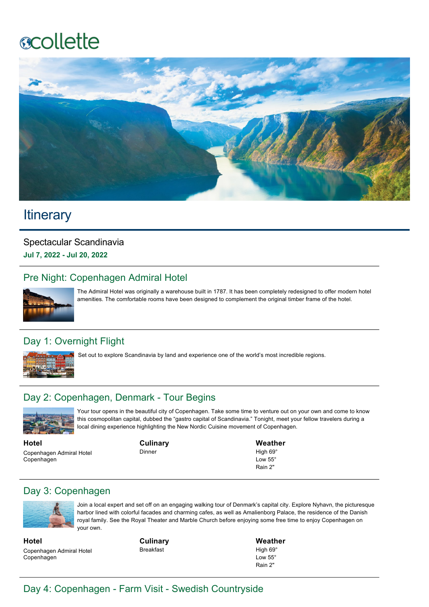# **ecollette**



# **Itinerary**

Spectacular Scandinavia **Jul 7, 2022 Jul 20, 2022**

# Pre Night: Copenhagen Admiral Hotel



The Admiral Hotel was originally a warehouse built in 1787. It has been completely redesigned to offer modern hotel amenities. The comfortable rooms have been designed to complement the original timber frame of the hotel.

# Day 1: Overnight Flight



Set out to explore Scandinavia by land and experience one of the world's most incredible regions.

# Day 2: Copenhagen, Denmark - Tour Begins



Your tour opens in the beautiful city of Copenhagen. Take some time to venture out on your own and come to know this cosmopolitan capital, dubbed the "gastro capital of Scandinavia." Tonight, meet your fellow travelers during a local dining experience highlighting the New Nordic Cuisine movement of Copenhagen.

**Hotel** Copenhagen Admiral Hotel Copenhagen

**Culinary**

Dinner

**Weather** High 69° Low 55° Rain 2"

## Day 3: Copenhagen



Join a local expert and set off on an engaging walking tour of Denmark's capital city. Explore Nyhavn, the picturesque harbor lined with colorful facades and charming cafes, as well as Amalienborg Palace, the residence of the Danish royal family. See the Royal Theater and Marble Church before enjoying some free time to enjoy Copenhagen on your own.

**Hotel** Copenhagen Admiral Hotel Copenhagen

**Culinary** Breakfast

**Weather** High 69° Low 55° Rain 2"

# Day 4: Copenhagen - Farm Visit - Swedish Countryside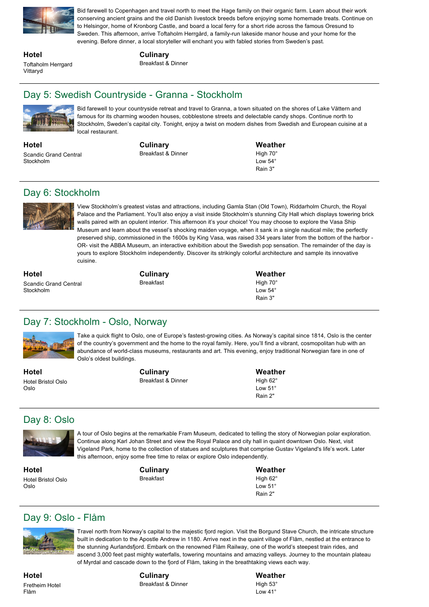

Bid farewell to Copenhagen and travel north to meet the Hage family on their organic farm. Learn about their work conserving ancient grains and the old Danish livestock breeds before enjoying some homemade treats. Continue on to Helsingor, home of Kronborg Castle, and board a local ferry for a short ride across the famous Oresund to Sweden. This afternoon, arrive Toftaholm Herrgård, a family-run lakeside manor house and your home for the evening. Before dinner, a local storyteller will enchant you with fabled stories from Sweden's past.

**Hotel** Toftaholm Herrgard Vittaryd

#### **Culinary**

Breakfast & Dinner

# Day 5: Swedish Countryside - Granna - Stockholm



Bid farewell to your countryside retreat and travel to Granna, a town situated on the shores of Lake Vättern and famous for its charming wooden houses, cobblestone streets and delectable candy shops. Continue north to Stockholm, Sweden's capital city. Tonight, enjoy a twist on modern dishes from Swedish and European cuisine at a local restaurant.

**Hotel** Scandic Grand Central Stockholm

**Culinary** Breakfast & Dinner **Weather** High 70° Low 54° Rain 3"

# Day 6: Stockholm



View Stockholm's greatest vistas and attractions, including Gamla Stan (Old Town), Riddarholm Church, the Royal Palace and the Parliament. You'll also enjoy a visit inside Stockholm's stunning City Hall which displays towering brick walls paired with an opulent interior. This afternoon it's your choice! You may choose to explore the Vasa Ship Museum and learn about the vessel's shocking maiden voyage, when it sank in a single nautical mile; the perfectly preserved ship, commissioned in the 1600s by King Vasa, was raised 334 years later from the bottom of the harbor OR- visit the ABBA Museum, an interactive exhibition about the Swedish pop sensation. The remainder of the day is yours to explore Stockholm independently. Discover its strikingly colorful architecture and sample its innovative cuisine.

**Hotel** Scandic Grand Central Stockholm

**Culinary** Breakfast

**Weather** High 70°  $Low 54<sup>°</sup>$ Rain 3"

# Day 7: Stockholm - Oslo, Norway



Take a quick flight to Oslo, one of Europe's fastest-growing cities. As Norway's capital since 1814, Oslo is the center of the country's government and the home to the royal family. Here, you'll find a vibrant, cosmopolitan hub with an abundance of world-class museums, restaurants and art. This evening, enjoy traditional Norwegian fare in one of Oslo's oldest buildings.

**Hotel** Hotel Bristol Oslo Oslo

**Culinary** Breakfast & Dinner **Weather** High 62° Low 51° Rain 2"

# Day 8: Oslo



A tour of Oslo begins at the remarkable Fram Museum, dedicated to telling the story of Norwegian polar exploration. Continue along Karl Johan Street and view the Royal Palace and city hall in quaint downtown Oslo. Next, visit Vigeland Park, home to the collection of statues and sculptures that comprise Gustav Vigeland's life's work. Later this afternoon, enjoy some free time to relax or explore Oslo independently.

**Hotel** Hotel Bristol Oslo Oslo

**Culinary** Breakfast

**Weather** High 62<sup>°</sup> Low 51° Rain 2"

# Day 9: Oslo - Flåm



Travel north from Norway's capital to the majestic fjord region. Visit the Borgund Stave Church, the intricate structure built in dedication to the Apostle Andrew in 1180. Arrive next in the quaint village of Flåm, nestled at the entrance to the stunning Aurlandsfjord. Embark on the renowned Flåm Railway, one of the world's steepest train rides, and ascend 3,000 feet past mighty waterfalls, towering mountains and amazing valleys. Journey to the mountain plateau of Myrdal and cascade down to the fjord of Flåm, taking in the breathtaking views each way.

**Hotel** Fretheim Hotel Flåm

**Culinary** Breakfast & Dinner **Weather** High  $53^\circ$ Low 41°